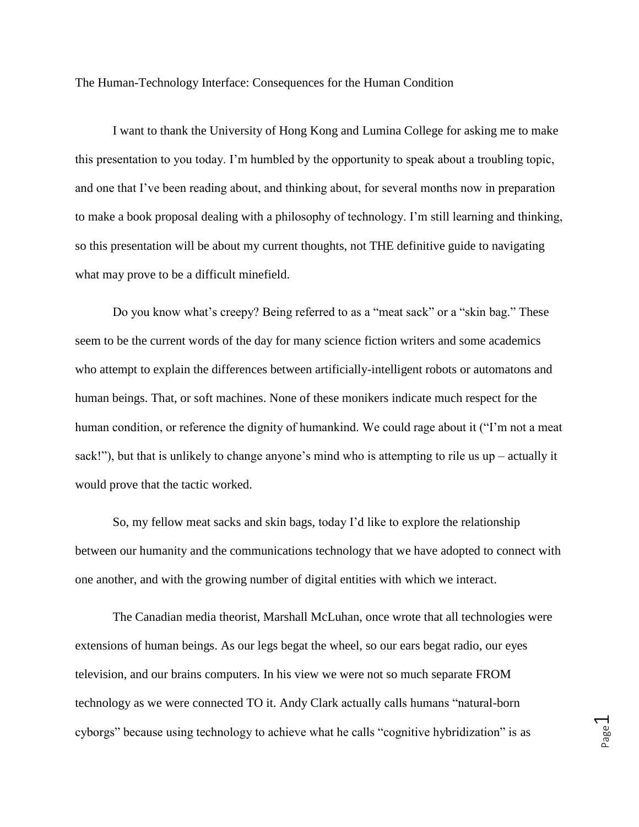The Human-Technology Interface: Consequences for the Human Condition

I want to thank the University of Hong Kong and Lumina College for asking me to make this presentation to you today. I'm humbled by the opportunity to speak about a troubling topic, and one that I've been reading about, and thinking about, for several months now in preparation to make a book proposal dealing with a philosophy of technology. I'm still learning and thinking, so this presentation will be about my current thoughts, not THE definitive guide to navigating what may prove to be a difficult minefield.

Do you know what's creepy? Being referred to as a "meat sack" or a "skin bag." These seem to be the current words of the day for many science fiction writers and some academics who attempt to explain the differences between artificially-intelligent robots or automatons and human beings. That, or soft machines. None of these monikers indicate much respect for the human condition, or reference the dignity of humankind. We could rage about it ("I'm not a meat sack!"), but that is unlikely to change anyone's mind who is attempting to rile us up – actually it would prove that the tactic worked.

So, my fellow meat sacks and skin bags, today I'd like to explore the relationship between our humanity and the communications technology that we have adopted to connect with one another, and with the growing number of digital entities with which we interact.

The Canadian media theorist, Marshall McLuhan, once wrote that all technologies were extensions of human beings. As our legs begat the wheel, so our ears begat radio, our eyes television, and our brains computers. In his view we were not so much separate FROM technology as we were connected TO it. Andy Clark actually calls humans "natural-born cyborgs" because using technology to achieve what he calls "cognitive hybridization" is as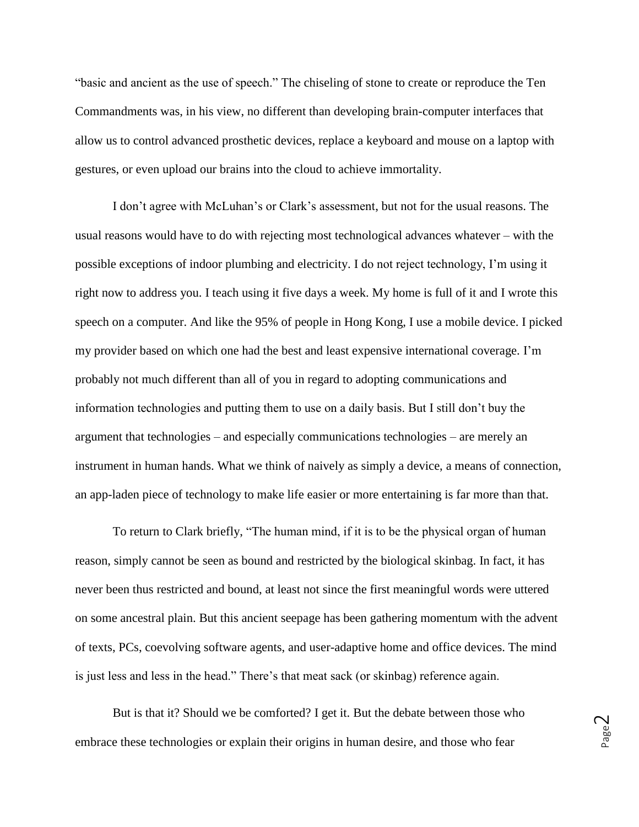"basic and ancient as the use of speech." The chiseling of stone to create or reproduce the Ten Commandments was, in his view, no different than developing brain-computer interfaces that allow us to control advanced prosthetic devices, replace a keyboard and mouse on a laptop with gestures, or even upload our brains into the cloud to achieve immortality.

I don't agree with McLuhan's or Clark's assessment, but not for the usual reasons. The usual reasons would have to do with rejecting most technological advances whatever – with the possible exceptions of indoor plumbing and electricity. I do not reject technology, I'm using it right now to address you. I teach using it five days a week. My home is full of it and I wrote this speech on a computer. And like the 95% of people in Hong Kong, I use a mobile device. I picked my provider based on which one had the best and least expensive international coverage. I'm probably not much different than all of you in regard to adopting communications and information technologies and putting them to use on a daily basis. But I still don't buy the argument that technologies – and especially communications technologies – are merely an instrument in human hands. What we think of naively as simply a device, a means of connection, an app-laden piece of technology to make life easier or more entertaining is far more than that.

To return to Clark briefly, "The human mind, if it is to be the physical organ of human reason, simply cannot be seen as bound and restricted by the biological skinbag. In fact, it has never been thus restricted and bound, at least not since the first meaningful words were uttered on some ancestral plain. But this ancient seepage has been gathering momentum with the advent of texts, PCs, coevolving software agents, and user-adaptive home and office devices. The mind is just less and less in the head." There's that meat sack (or skinbag) reference again.

But is that it? Should we be comforted? I get it. But the debate between those who embrace these technologies or explain their origins in human desire, and those who fear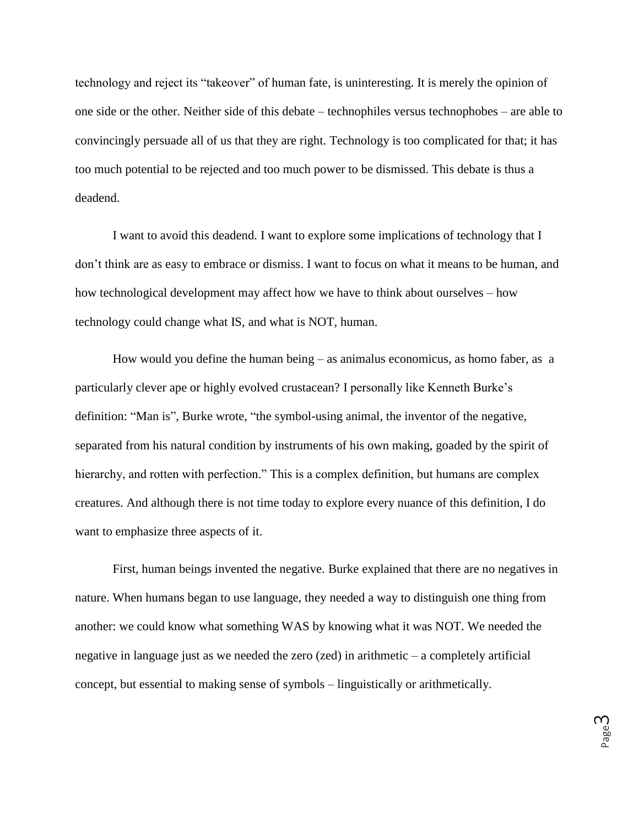technology and reject its "takeover" of human fate, is uninteresting. It is merely the opinion of one side or the other. Neither side of this debate – technophiles versus technophobes – are able to convincingly persuade all of us that they are right. Technology is too complicated for that; it has too much potential to be rejected and too much power to be dismissed. This debate is thus a deadend.

I want to avoid this deadend. I want to explore some implications of technology that I don't think are as easy to embrace or dismiss. I want to focus on what it means to be human, and how technological development may affect how we have to think about ourselves – how technology could change what IS, and what is NOT, human.

How would you define the human being – as animalus economicus, as homo faber, as a particularly clever ape or highly evolved crustacean? I personally like Kenneth Burke's definition: "Man is", Burke wrote, "the symbol-using animal, the inventor of the negative, separated from his natural condition by instruments of his own making, goaded by the spirit of hierarchy, and rotten with perfection." This is a complex definition, but humans are complex creatures. And although there is not time today to explore every nuance of this definition, I do want to emphasize three aspects of it.

First, human beings invented the negative. Burke explained that there are no negatives in nature. When humans began to use language, they needed a way to distinguish one thing from another: we could know what something WAS by knowing what it was NOT. We needed the negative in language just as we needed the zero (zed) in arithmetic – a completely artificial concept, but essential to making sense of symbols – linguistically or arithmetically.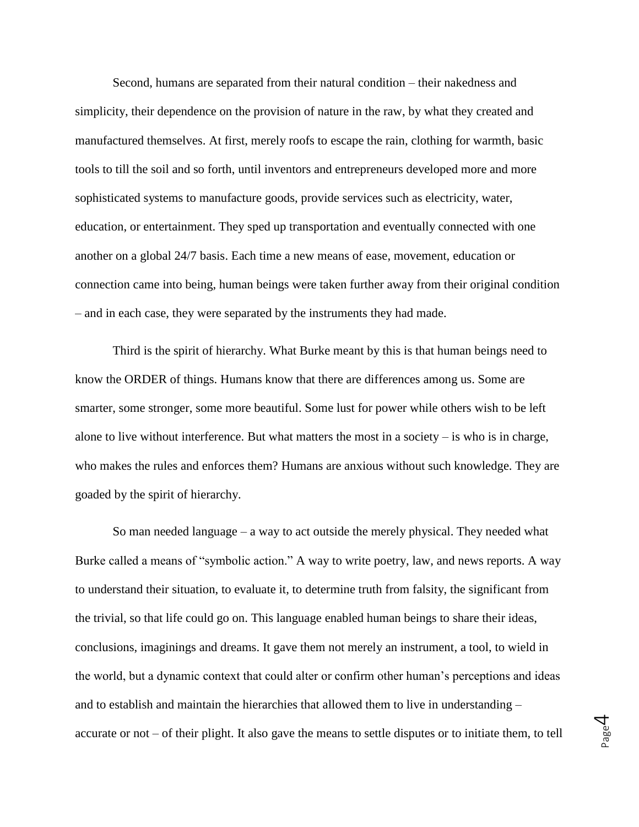Second, humans are separated from their natural condition – their nakedness and simplicity, their dependence on the provision of nature in the raw, by what they created and manufactured themselves. At first, merely roofs to escape the rain, clothing for warmth, basic tools to till the soil and so forth, until inventors and entrepreneurs developed more and more sophisticated systems to manufacture goods, provide services such as electricity, water, education, or entertainment. They sped up transportation and eventually connected with one another on a global 24/7 basis. Each time a new means of ease, movement, education or connection came into being, human beings were taken further away from their original condition – and in each case, they were separated by the instruments they had made.

Third is the spirit of hierarchy. What Burke meant by this is that human beings need to know the ORDER of things. Humans know that there are differences among us. Some are smarter, some stronger, some more beautiful. Some lust for power while others wish to be left alone to live without interference. But what matters the most in a society  $-$  is who is in charge, who makes the rules and enforces them? Humans are anxious without such knowledge. They are goaded by the spirit of hierarchy.

So man needed language – a way to act outside the merely physical. They needed what Burke called a means of "symbolic action." A way to write poetry, law, and news reports. A way to understand their situation, to evaluate it, to determine truth from falsity, the significant from the trivial, so that life could go on. This language enabled human beings to share their ideas, conclusions, imaginings and dreams. It gave them not merely an instrument, a tool, to wield in the world, but a dynamic context that could alter or confirm other human's perceptions and ideas and to establish and maintain the hierarchies that allowed them to live in understanding – accurate or not – of their plight. It also gave the means to settle disputes or to initiate them, to tell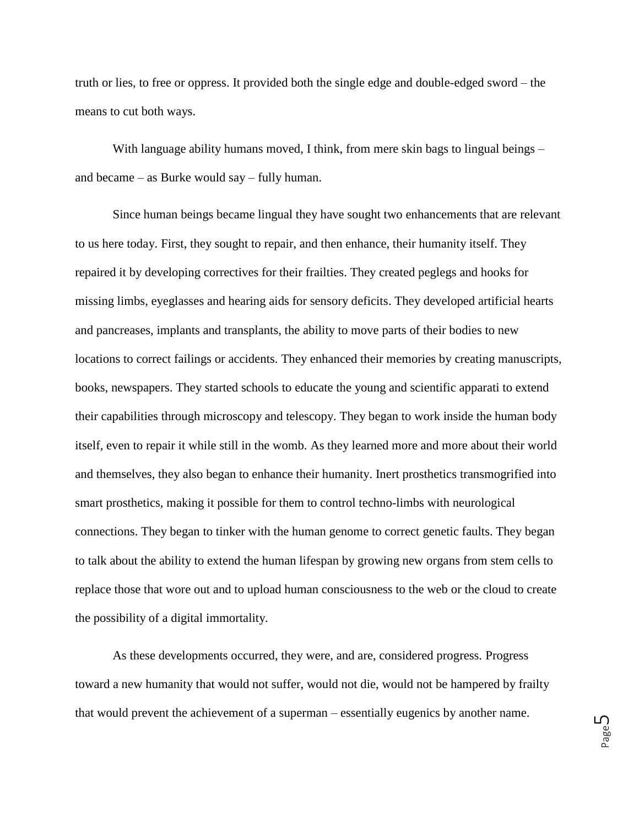truth or lies, to free or oppress. It provided both the single edge and double-edged sword – the means to cut both ways.

With language ability humans moved, I think, from mere skin bags to lingual beings – and became – as Burke would say – fully human.

Since human beings became lingual they have sought two enhancements that are relevant to us here today. First, they sought to repair, and then enhance, their humanity itself. They repaired it by developing correctives for their frailties. They created peglegs and hooks for missing limbs, eyeglasses and hearing aids for sensory deficits. They developed artificial hearts and pancreases, implants and transplants, the ability to move parts of their bodies to new locations to correct failings or accidents. They enhanced their memories by creating manuscripts, books, newspapers. They started schools to educate the young and scientific apparati to extend their capabilities through microscopy and telescopy. They began to work inside the human body itself, even to repair it while still in the womb. As they learned more and more about their world and themselves, they also began to enhance their humanity. Inert prosthetics transmogrified into smart prosthetics, making it possible for them to control techno-limbs with neurological connections. They began to tinker with the human genome to correct genetic faults. They began to talk about the ability to extend the human lifespan by growing new organs from stem cells to replace those that wore out and to upload human consciousness to the web or the cloud to create the possibility of a digital immortality.

As these developments occurred, they were, and are, considered progress. Progress toward a new humanity that would not suffer, would not die, would not be hampered by frailty that would prevent the achievement of a superman – essentially eugenics by another name.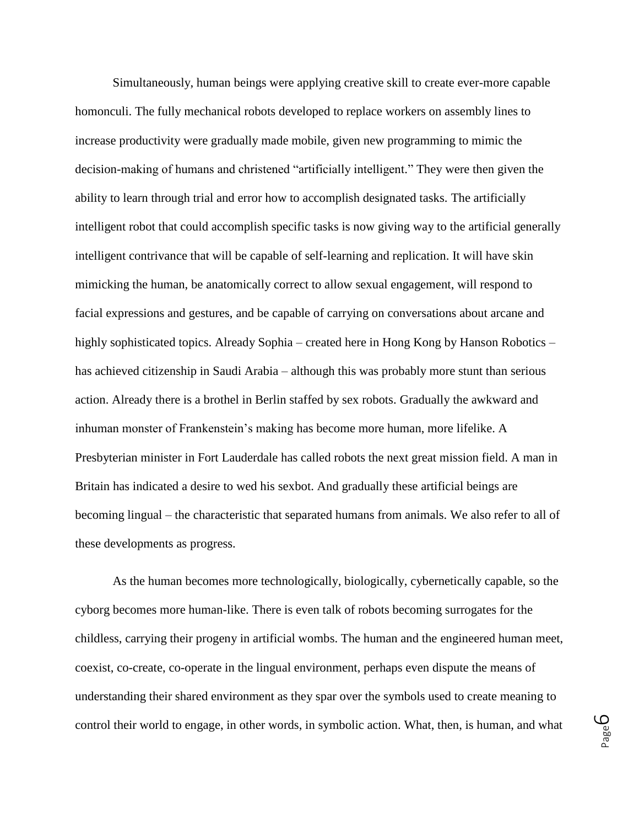Simultaneously, human beings were applying creative skill to create ever-more capable homonculi. The fully mechanical robots developed to replace workers on assembly lines to increase productivity were gradually made mobile, given new programming to mimic the decision-making of humans and christened "artificially intelligent." They were then given the ability to learn through trial and error how to accomplish designated tasks. The artificially intelligent robot that could accomplish specific tasks is now giving way to the artificial generally intelligent contrivance that will be capable of self-learning and replication. It will have skin mimicking the human, be anatomically correct to allow sexual engagement, will respond to facial expressions and gestures, and be capable of carrying on conversations about arcane and highly sophisticated topics. Already Sophia – created here in Hong Kong by Hanson Robotics – has achieved citizenship in Saudi Arabia – although this was probably more stunt than serious action. Already there is a brothel in Berlin staffed by sex robots. Gradually the awkward and inhuman monster of Frankenstein's making has become more human, more lifelike. A Presbyterian minister in Fort Lauderdale has called robots the next great mission field. A man in Britain has indicated a desire to wed his sexbot. And gradually these artificial beings are becoming lingual – the characteristic that separated humans from animals. We also refer to all of these developments as progress.

As the human becomes more technologically, biologically, cybernetically capable, so the cyborg becomes more human-like. There is even talk of robots becoming surrogates for the childless, carrying their progeny in artificial wombs. The human and the engineered human meet, coexist, co-create, co-operate in the lingual environment, perhaps even dispute the means of understanding their shared environment as they spar over the symbols used to create meaning to control their world to engage, in other words, in symbolic action. What, then, is human, and what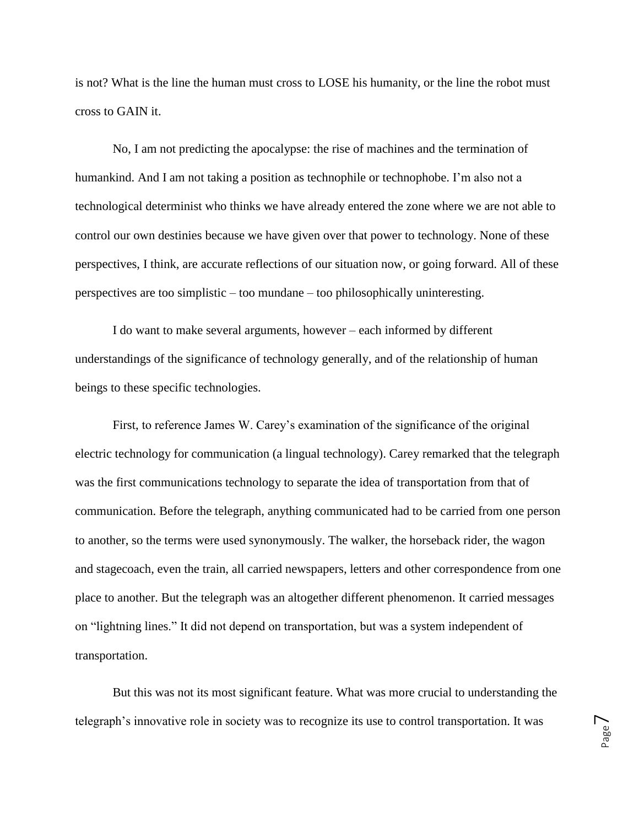is not? What is the line the human must cross to LOSE his humanity, or the line the robot must cross to GAIN it.

No, I am not predicting the apocalypse: the rise of machines and the termination of humankind. And I am not taking a position as technophile or technophobe. I'm also not a technological determinist who thinks we have already entered the zone where we are not able to control our own destinies because we have given over that power to technology. None of these perspectives, I think, are accurate reflections of our situation now, or going forward. All of these perspectives are too simplistic – too mundane – too philosophically uninteresting.

I do want to make several arguments, however – each informed by different understandings of the significance of technology generally, and of the relationship of human beings to these specific technologies.

First, to reference James W. Carey's examination of the significance of the original electric technology for communication (a lingual technology). Carey remarked that the telegraph was the first communications technology to separate the idea of transportation from that of communication. Before the telegraph, anything communicated had to be carried from one person to another, so the terms were used synonymously. The walker, the horseback rider, the wagon and stagecoach, even the train, all carried newspapers, letters and other correspondence from one place to another. But the telegraph was an altogether different phenomenon. It carried messages on "lightning lines." It did not depend on transportation, but was a system independent of transportation.

But this was not its most significant feature. What was more crucial to understanding the telegraph's innovative role in society was to recognize its use to control transportation. It was

Page  $\overline{\phantom{a}}$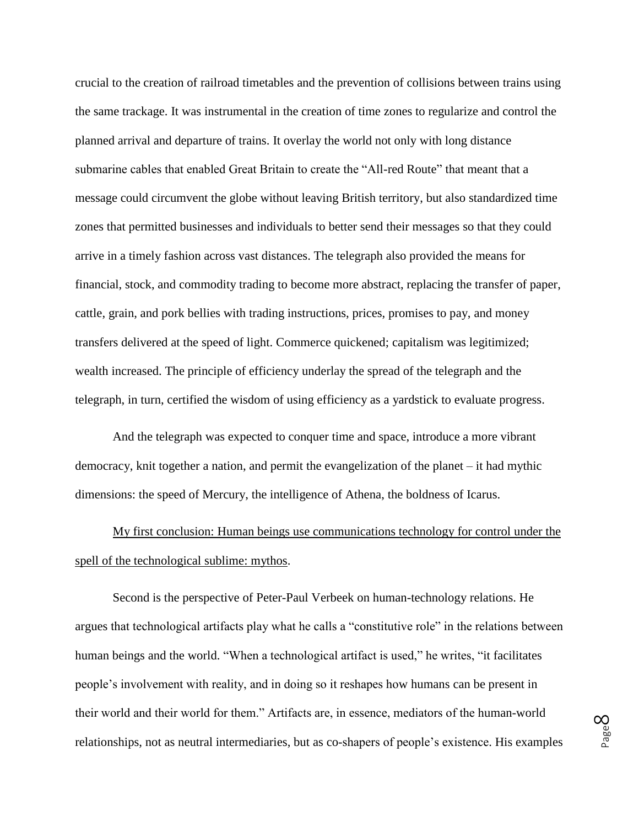crucial to the creation of railroad timetables and the prevention of collisions between trains using the same trackage. It was instrumental in the creation of time zones to regularize and control the planned arrival and departure of trains. It overlay the world not only with long distance submarine cables that enabled Great Britain to create the "All-red Route" that meant that a message could circumvent the globe without leaving British territory, but also standardized time zones that permitted businesses and individuals to better send their messages so that they could arrive in a timely fashion across vast distances. The telegraph also provided the means for financial, stock, and commodity trading to become more abstract, replacing the transfer of paper, cattle, grain, and pork bellies with trading instructions, prices, promises to pay, and money transfers delivered at the speed of light. Commerce quickened; capitalism was legitimized; wealth increased. The principle of efficiency underlay the spread of the telegraph and the telegraph, in turn, certified the wisdom of using efficiency as a yardstick to evaluate progress.

And the telegraph was expected to conquer time and space, introduce a more vibrant democracy, knit together a nation, and permit the evangelization of the planet – it had mythic dimensions: the speed of Mercury, the intelligence of Athena, the boldness of Icarus.

My first conclusion: Human beings use communications technology for control under the spell of the technological sublime: mythos.

Second is the perspective of Peter-Paul Verbeek on human-technology relations. He argues that technological artifacts play what he calls a "constitutive role" in the relations between human beings and the world. "When a technological artifact is used," he writes, "it facilitates people's involvement with reality, and in doing so it reshapes how humans can be present in their world and their world for them." Artifacts are, in essence, mediators of the human-world relationships, not as neutral intermediaries, but as co-shapers of people's existence. His examples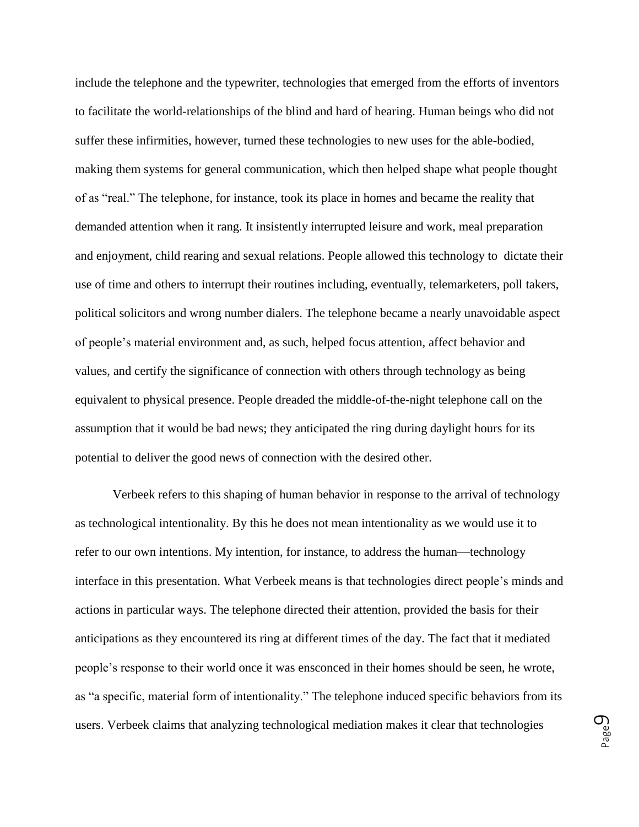include the telephone and the typewriter, technologies that emerged from the efforts of inventors to facilitate the world-relationships of the blind and hard of hearing. Human beings who did not suffer these infirmities, however, turned these technologies to new uses for the able-bodied, making them systems for general communication, which then helped shape what people thought of as "real." The telephone, for instance, took its place in homes and became the reality that demanded attention when it rang. It insistently interrupted leisure and work, meal preparation and enjoyment, child rearing and sexual relations. People allowed this technology to dictate their use of time and others to interrupt their routines including, eventually, telemarketers, poll takers, political solicitors and wrong number dialers. The telephone became a nearly unavoidable aspect of people's material environment and, as such, helped focus attention, affect behavior and values, and certify the significance of connection with others through technology as being equivalent to physical presence. People dreaded the middle-of-the-night telephone call on the assumption that it would be bad news; they anticipated the ring during daylight hours for its potential to deliver the good news of connection with the desired other.

Verbeek refers to this shaping of human behavior in response to the arrival of technology as technological intentionality. By this he does not mean intentionality as we would use it to refer to our own intentions. My intention, for instance, to address the human—technology interface in this presentation. What Verbeek means is that technologies direct people's minds and actions in particular ways. The telephone directed their attention, provided the basis for their anticipations as they encountered its ring at different times of the day. The fact that it mediated people's response to their world once it was ensconced in their homes should be seen, he wrote, as "a specific, material form of intentionality." The telephone induced specific behaviors from its users. Verbeek claims that analyzing technological mediation makes it clear that technologies

Page  $\mathcal O$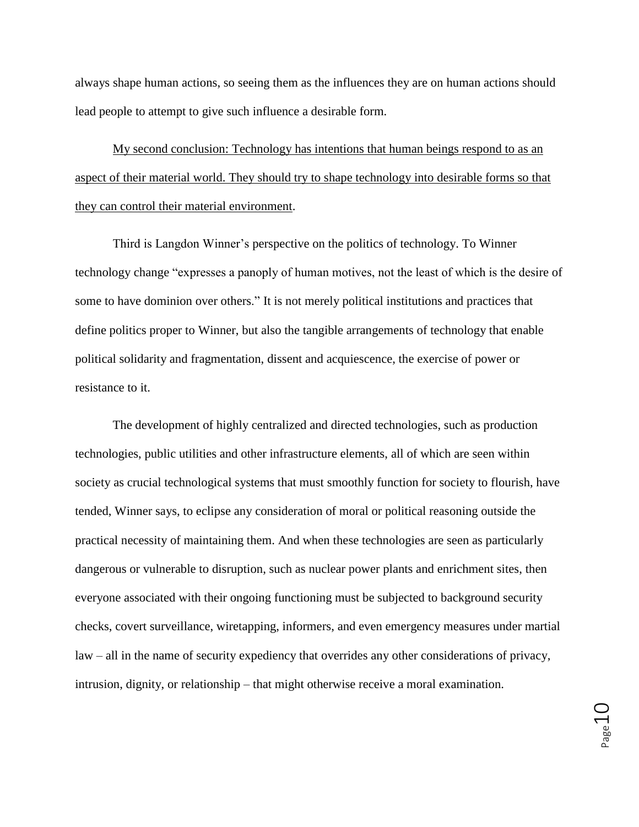always shape human actions, so seeing them as the influences they are on human actions should lead people to attempt to give such influence a desirable form.

My second conclusion: Technology has intentions that human beings respond to as an aspect of their material world. They should try to shape technology into desirable forms so that they can control their material environment.

Third is Langdon Winner's perspective on the politics of technology. To Winner technology change "expresses a panoply of human motives, not the least of which is the desire of some to have dominion over others." It is not merely political institutions and practices that define politics proper to Winner, but also the tangible arrangements of technology that enable political solidarity and fragmentation, dissent and acquiescence, the exercise of power or resistance to it.

The development of highly centralized and directed technologies, such as production technologies, public utilities and other infrastructure elements, all of which are seen within society as crucial technological systems that must smoothly function for society to flourish, have tended, Winner says, to eclipse any consideration of moral or political reasoning outside the practical necessity of maintaining them. And when these technologies are seen as particularly dangerous or vulnerable to disruption, such as nuclear power plants and enrichment sites, then everyone associated with their ongoing functioning must be subjected to background security checks, covert surveillance, wiretapping, informers, and even emergency measures under martial law – all in the name of security expediency that overrides any other considerations of privacy, intrusion, dignity, or relationship – that might otherwise receive a moral examination.

Page10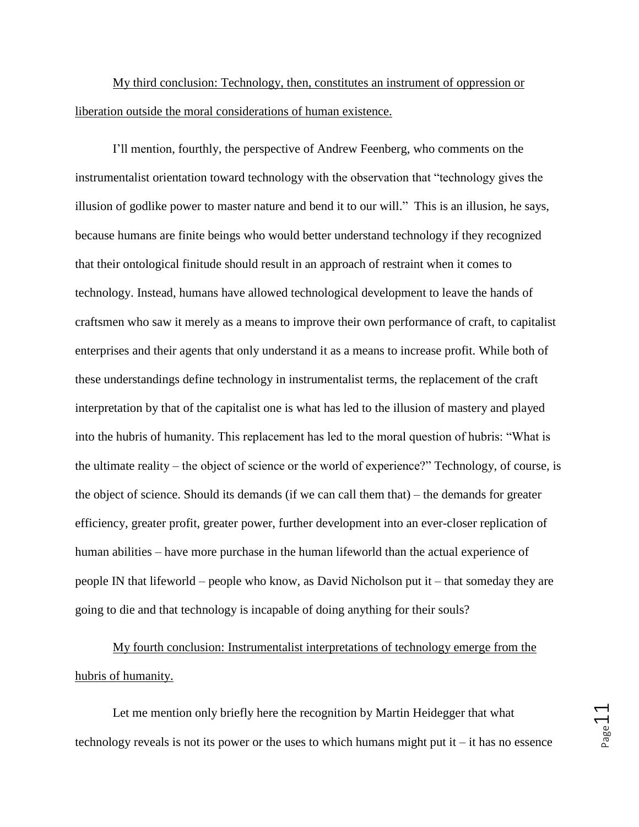My third conclusion: Technology, then, constitutes an instrument of oppression or liberation outside the moral considerations of human existence.

I'll mention, fourthly, the perspective of Andrew Feenberg, who comments on the instrumentalist orientation toward technology with the observation that "technology gives the illusion of godlike power to master nature and bend it to our will." This is an illusion, he says, because humans are finite beings who would better understand technology if they recognized that their ontological finitude should result in an approach of restraint when it comes to technology. Instead, humans have allowed technological development to leave the hands of craftsmen who saw it merely as a means to improve their own performance of craft, to capitalist enterprises and their agents that only understand it as a means to increase profit. While both of these understandings define technology in instrumentalist terms, the replacement of the craft interpretation by that of the capitalist one is what has led to the illusion of mastery and played into the hubris of humanity. This replacement has led to the moral question of hubris: "What is the ultimate reality – the object of science or the world of experience?" Technology, of course, is the object of science. Should its demands (if we can call them that) – the demands for greater efficiency, greater profit, greater power, further development into an ever-closer replication of human abilities – have more purchase in the human lifeworld than the actual experience of people IN that lifeworld – people who know, as David Nicholson put it – that someday they are going to die and that technology is incapable of doing anything for their souls?

My fourth conclusion: Instrumentalist interpretations of technology emerge from the hubris of humanity.

Let me mention only briefly here the recognition by Martin Heidegger that what technology reveals is not its power or the uses to which humans might put it – it has no essence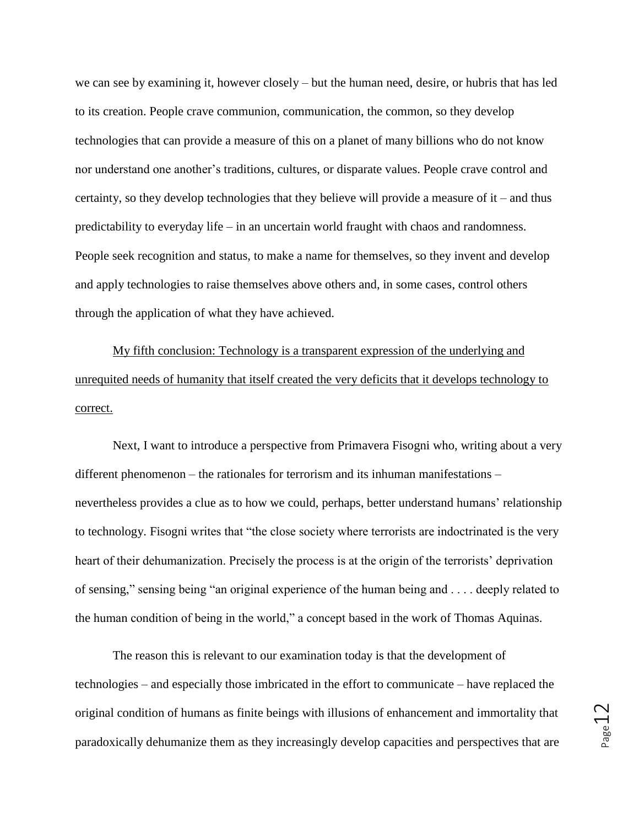we can see by examining it, however closely – but the human need, desire, or hubris that has led to its creation. People crave communion, communication, the common, so they develop technologies that can provide a measure of this on a planet of many billions who do not know nor understand one another's traditions, cultures, or disparate values. People crave control and certainty, so they develop technologies that they believe will provide a measure of it – and thus predictability to everyday life – in an uncertain world fraught with chaos and randomness. People seek recognition and status, to make a name for themselves, so they invent and develop and apply technologies to raise themselves above others and, in some cases, control others through the application of what they have achieved.

My fifth conclusion: Technology is a transparent expression of the underlying and unrequited needs of humanity that itself created the very deficits that it develops technology to correct.

Next, I want to introduce a perspective from Primavera Fisogni who, writing about a very different phenomenon – the rationales for terrorism and its inhuman manifestations – nevertheless provides a clue as to how we could, perhaps, better understand humans' relationship to technology. Fisogni writes that "the close society where terrorists are indoctrinated is the very heart of their dehumanization. Precisely the process is at the origin of the terrorists' deprivation of sensing," sensing being "an original experience of the human being and . . . . deeply related to the human condition of being in the world," a concept based in the work of Thomas Aquinas.

The reason this is relevant to our examination today is that the development of technologies – and especially those imbricated in the effort to communicate – have replaced the original condition of humans as finite beings with illusions of enhancement and immortality that paradoxically dehumanize them as they increasingly develop capacities and perspectives that are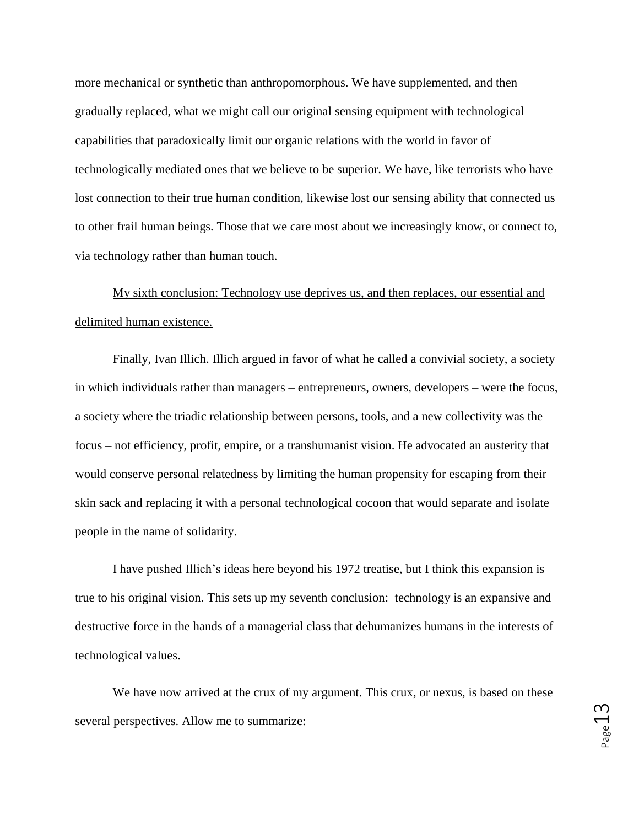more mechanical or synthetic than anthropomorphous. We have supplemented, and then gradually replaced, what we might call our original sensing equipment with technological capabilities that paradoxically limit our organic relations with the world in favor of technologically mediated ones that we believe to be superior. We have, like terrorists who have lost connection to their true human condition, likewise lost our sensing ability that connected us to other frail human beings. Those that we care most about we increasingly know, or connect to, via technology rather than human touch.

My sixth conclusion: Technology use deprives us, and then replaces, our essential and delimited human existence.

Finally, Ivan Illich. Illich argued in favor of what he called a convivial society, a society in which individuals rather than managers – entrepreneurs, owners, developers – were the focus, a society where the triadic relationship between persons, tools, and a new collectivity was the focus – not efficiency, profit, empire, or a transhumanist vision. He advocated an austerity that would conserve personal relatedness by limiting the human propensity for escaping from their skin sack and replacing it with a personal technological cocoon that would separate and isolate people in the name of solidarity.

I have pushed Illich's ideas here beyond his 1972 treatise, but I think this expansion is true to his original vision. This sets up my seventh conclusion: technology is an expansive and destructive force in the hands of a managerial class that dehumanizes humans in the interests of technological values.

We have now arrived at the crux of my argument. This crux, or nexus, is based on these several perspectives. Allow me to summarize: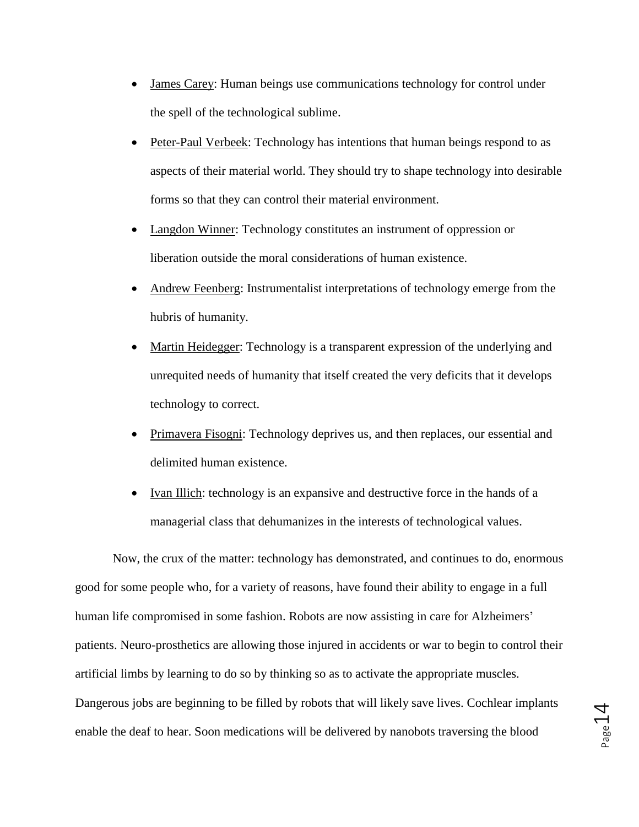- James Carey: Human beings use communications technology for control under the spell of the technological sublime.
- Peter-Paul Verbeek: Technology has intentions that human beings respond to as aspects of their material world. They should try to shape technology into desirable forms so that they can control their material environment.
- Langdon Winner: Technology constitutes an instrument of oppression or liberation outside the moral considerations of human existence.
- Andrew Feenberg: Instrumentalist interpretations of technology emerge from the hubris of humanity.
- Martin Heidegger: Technology is a transparent expression of the underlying and unrequited needs of humanity that itself created the very deficits that it develops technology to correct.
- Primavera Fisogni: Technology deprives us, and then replaces, our essential and delimited human existence.
- Ivan Illich: technology is an expansive and destructive force in the hands of a managerial class that dehumanizes in the interests of technological values.

Now, the crux of the matter: technology has demonstrated, and continues to do, enormous good for some people who, for a variety of reasons, have found their ability to engage in a full human life compromised in some fashion. Robots are now assisting in care for Alzheimers' patients. Neuro-prosthetics are allowing those injured in accidents or war to begin to control their artificial limbs by learning to do so by thinking so as to activate the appropriate muscles. Dangerous jobs are beginning to be filled by robots that will likely save lives. Cochlear implants enable the deaf to hear. Soon medications will be delivered by nanobots traversing the blood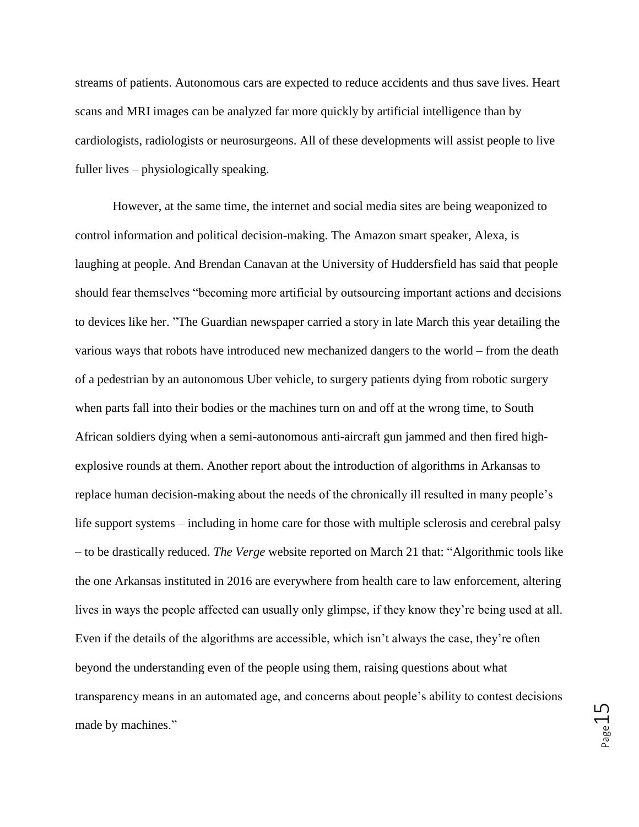streams of patients. Autonomous cars are expected to reduce accidents and thus save lives. Heart scans and MRI images can be analyzed far more quickly by artificial intelligence than by cardiologists, radiologists or neurosurgeons. All of these developments will assist people to live fuller lives – physiologically speaking.

However, at the same time, the internet and social media sites are being weaponized to control information and political decision-making. The Amazon smart speaker, Alexa, is laughing at people. And Brendan Canavan at the University of Huddersfield has said that people should fear themselves "becoming more artificial by outsourcing important actions and decisions to devices like her. "The Guardian newspaper carried a story in late March this year detailing the various ways that robots have introduced new mechanized dangers to the world – from the death of a pedestrian by an autonomous Uber vehicle, to surgery patients dying from robotic surgery when parts fall into their bodies or the machines turn on and off at the wrong time, to South African soldiers dying when a semi-autonomous anti-aircraft gun jammed and then fired highexplosive rounds at them. Another report about the introduction of algorithms in Arkansas to replace human decision-making about the needs of the chronically ill resulted in many people's life support systems – including in home care for those with multiple sclerosis and cerebral palsy – to be drastically reduced. *The Verge* website reported on March 21 that: "Algorithmic tools like the one Arkansas instituted in 2016 are everywhere from health care to law enforcement, altering lives in ways the people affected can usually only glimpse, if they know they're being used at all. Even if the details of the algorithms are accessible, which isn't always the case, they're often beyond the understanding even of the people using them, raising questions about what transparency means in an automated age, and concerns about people's ability to contest decisions made by machines."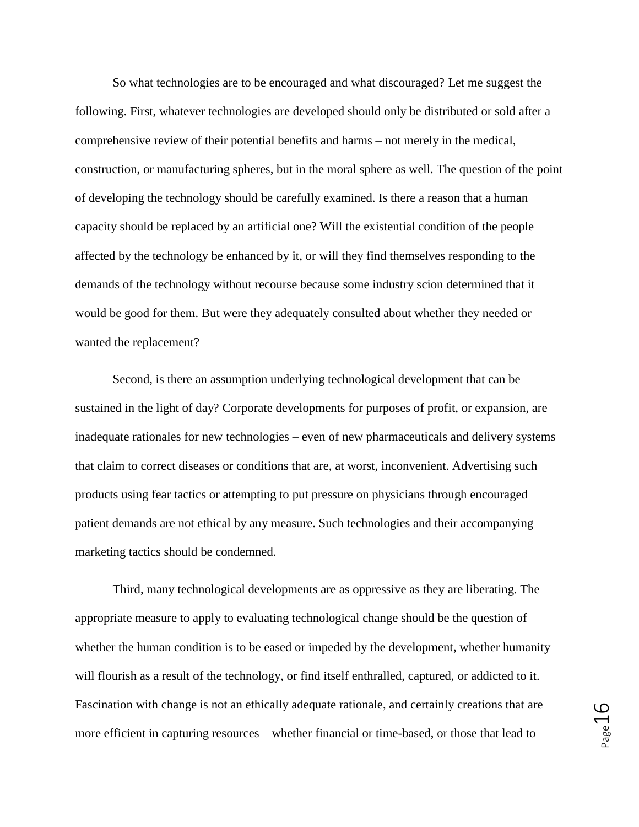So what technologies are to be encouraged and what discouraged? Let me suggest the following. First, whatever technologies are developed should only be distributed or sold after a comprehensive review of their potential benefits and harms – not merely in the medical, construction, or manufacturing spheres, but in the moral sphere as well. The question of the point of developing the technology should be carefully examined. Is there a reason that a human capacity should be replaced by an artificial one? Will the existential condition of the people affected by the technology be enhanced by it, or will they find themselves responding to the demands of the technology without recourse because some industry scion determined that it would be good for them. But were they adequately consulted about whether they needed or wanted the replacement?

Second, is there an assumption underlying technological development that can be sustained in the light of day? Corporate developments for purposes of profit, or expansion, are inadequate rationales for new technologies – even of new pharmaceuticals and delivery systems that claim to correct diseases or conditions that are, at worst, inconvenient. Advertising such products using fear tactics or attempting to put pressure on physicians through encouraged patient demands are not ethical by any measure. Such technologies and their accompanying marketing tactics should be condemned.

Third, many technological developments are as oppressive as they are liberating. The appropriate measure to apply to evaluating technological change should be the question of whether the human condition is to be eased or impeded by the development, whether humanity will flourish as a result of the technology, or find itself enthralled, captured, or addicted to it. Fascination with change is not an ethically adequate rationale, and certainly creations that are more efficient in capturing resources – whether financial or time-based, or those that lead to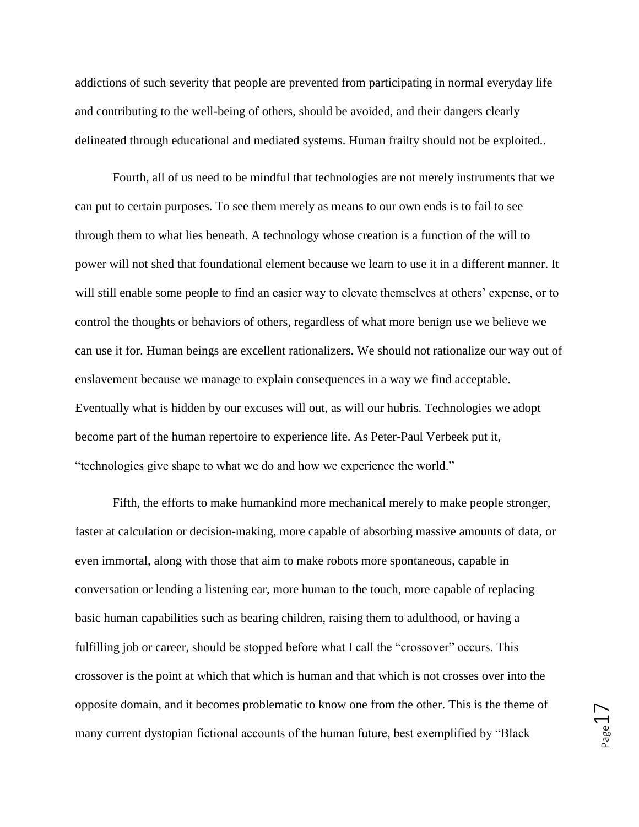addictions of such severity that people are prevented from participating in normal everyday life and contributing to the well-being of others, should be avoided, and their dangers clearly delineated through educational and mediated systems. Human frailty should not be exploited..

Fourth, all of us need to be mindful that technologies are not merely instruments that we can put to certain purposes. To see them merely as means to our own ends is to fail to see through them to what lies beneath. A technology whose creation is a function of the will to power will not shed that foundational element because we learn to use it in a different manner. It will still enable some people to find an easier way to elevate themselves at others' expense, or to control the thoughts or behaviors of others, regardless of what more benign use we believe we can use it for. Human beings are excellent rationalizers. We should not rationalize our way out of enslavement because we manage to explain consequences in a way we find acceptable. Eventually what is hidden by our excuses will out, as will our hubris. Technologies we adopt become part of the human repertoire to experience life. As Peter-Paul Verbeek put it, "technologies give shape to what we do and how we experience the world."

Fifth, the efforts to make humankind more mechanical merely to make people stronger, faster at calculation or decision-making, more capable of absorbing massive amounts of data, or even immortal, along with those that aim to make robots more spontaneous, capable in conversation or lending a listening ear, more human to the touch, more capable of replacing basic human capabilities such as bearing children, raising them to adulthood, or having a fulfilling job or career, should be stopped before what I call the "crossover" occurs. This crossover is the point at which that which is human and that which is not crosses over into the opposite domain, and it becomes problematic to know one from the other. This is the theme of many current dystopian fictional accounts of the human future, best exemplified by "Black

Page17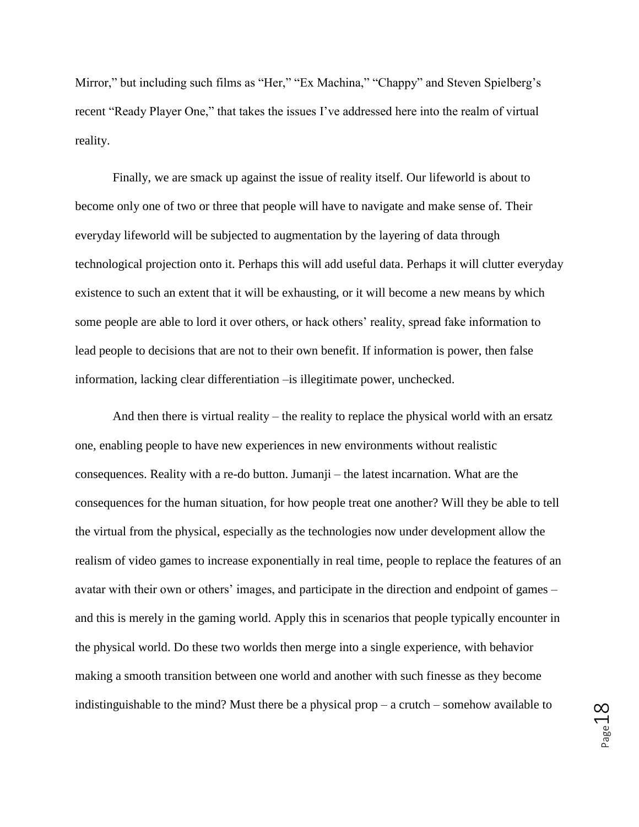Mirror," but including such films as "Her," "Ex Machina," "Chappy" and Steven Spielberg's recent "Ready Player One," that takes the issues I've addressed here into the realm of virtual reality.

Finally, we are smack up against the issue of reality itself. Our lifeworld is about to become only one of two or three that people will have to navigate and make sense of. Their everyday lifeworld will be subjected to augmentation by the layering of data through technological projection onto it. Perhaps this will add useful data. Perhaps it will clutter everyday existence to such an extent that it will be exhausting, or it will become a new means by which some people are able to lord it over others, or hack others' reality, spread fake information to lead people to decisions that are not to their own benefit. If information is power, then false information, lacking clear differentiation –is illegitimate power, unchecked.

And then there is virtual reality – the reality to replace the physical world with an ersatz one, enabling people to have new experiences in new environments without realistic consequences. Reality with a re-do button. Jumanji – the latest incarnation. What are the consequences for the human situation, for how people treat one another? Will they be able to tell the virtual from the physical, especially as the technologies now under development allow the realism of video games to increase exponentially in real time, people to replace the features of an avatar with their own or others' images, and participate in the direction and endpoint of games – and this is merely in the gaming world. Apply this in scenarios that people typically encounter in the physical world. Do these two worlds then merge into a single experience, with behavior making a smooth transition between one world and another with such finesse as they become indistinguishable to the mind? Must there be a physical prop – a crutch – somehow available to

Page18